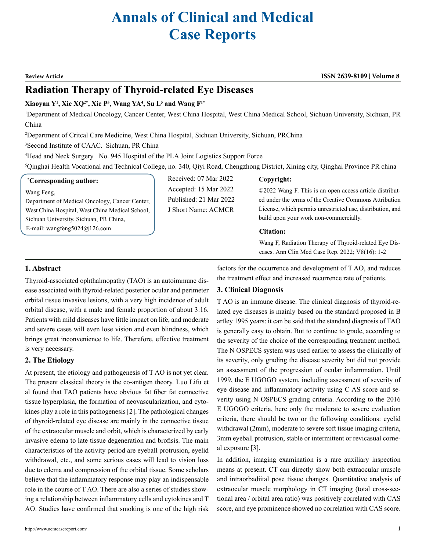# **Annals of Clinical and Medical Case Reports**

#### **Review Article ISSN 2639-8109 Volume 8**

## **Radiation Therapy of Thyroid-related Eye Diseases**

#### **Xiaoyan Y1 , Xie XQ2\*, Xie P3 , Wang YA4 , Su L5 and Wang F1\***

1 Department of Medical Oncology, Cancer Center, West China Hospital, West China Medical School, Sichuan University, Sichuan, PR China

2 Department of Critcal Care Medicine, West China Hospital, Sichuan University, Sichuan, PRChina

3 Second Institute of CAAC. Sichuan, PR China

4 Head and Neck Surgery No. 945 Hospital of the PLA Joint Logistics Support Force

5 Qinghai Health Vocational and Technical College, no. 340, Qiyi Road, Chengzhong District, Xining city, Qinghai Province PR china

#### **\* Corresponding author:**

Wang Feng,

Department of Medical Oncology, Cancer Center, West China Hospital, West China Medical School, Sichuan University, Sichuan, PR China, E-mail: wangfeng5024@126.com

Received: 07 Mar 2022 Accepted: 15 Mar 2022 Published: 21 Mar 2022 J Short Name: ACMCR

#### **Copyright:**

©2022 Wang F. This is an open access article distributed under the terms of the Creative Commons Attribution License, which permits unrestricted use, distribution, and build upon your work non-commercially.

#### **Citation:**

**3. Clinical Diagnosis**

Wang F, Radiation Therapy of Thyroid-related Eye Diseases. Ann Clin Med Case Rep. 2022; V8(16): 1-2

factors for the occurrence and development of T AO, and reduces the treatment effect and increased recurrence rate of patients.

T AO is an immune disease. The clinical diagnosis of thyroid-related eye diseases is mainly based on the standard proposed in B artley 1995 years: it can be said that the standard diagnosis of TAO is generally easy to obtain. But to continue to grade, according to the severity of the choice of the corresponding treatment method. The N OSPECS system was used earlier to assess the clinically of its severity, only grading the disease severity but did not provide an assessment of the progression of ocular inflammation. Until 1999, the E UGOGO system, including assessment of severity of eye disease and inflammatory activity using C AS score and severity using N OSPECS grading criteria. According to the 2016 E UGOGO criteria, here only the moderate to severe evaluation criteria, there should be two or the following conditions: eyelid withdrawal (2mm), moderate to severe soft tissue imaging criteria, 3mm eyeball protrusion, stable or intermittent or revicasual corne-

### **1. Abstract**

Thyroid-associated ophthalmopathy (TAO) is an autoimmune disease associated with thyroid-related posterior ocular and perimeter orbital tissue invasive lesions, with a very high incidence of adult orbital disease, with a male and female proportion of about 3:16. Patients with mild diseases have little impact on life, and moderate and severe cases will even lose vision and even blindness, which brings great inconvenience to life. Therefore, effective treatment is very necessary.

#### **2. The Etiology**

At present, the etiology and pathogenesis of T AO is not yet clear. The present classical theory is the co-antigen theory. Luo Lifu et al found that TAO patients have obvious fat fiber fat connective tissue hyperplasia, the formation of neovascularization, and cytokines play a role in this pathogenesis [2]. The pathological changes of thyroid-related eye disease are mainly in the connective tissue of the extraocular muscle and orbit, which is characterized by early invasive edema to late tissue degeneration and brofisis. The main characteristics of the activity period are eyeball protrusion, eyelid withdrawal, etc., and some serious cases will lead to vision loss due to edema and compression of the orbital tissue. Some scholars believe that the inflammatory response may play an indispensable role in the course of T AO. There are also a series of studies showing a relationship between inflammatory cells and cytokines and T AO. Studies have confirmed that smoking is one of the high risk

al exposure [3].

In addition, imaging examination is a rare auxiliary inspection means at present. CT can directly show both extraocular muscle and intraorbadiital pose tissue changes. Quantitative analysis of extraocular muscle morphology in CT imaging (total cross-sectional area / orbital area ratio) was positively correlated with CAS score, and eye prominence showed no correlation with CAS score.